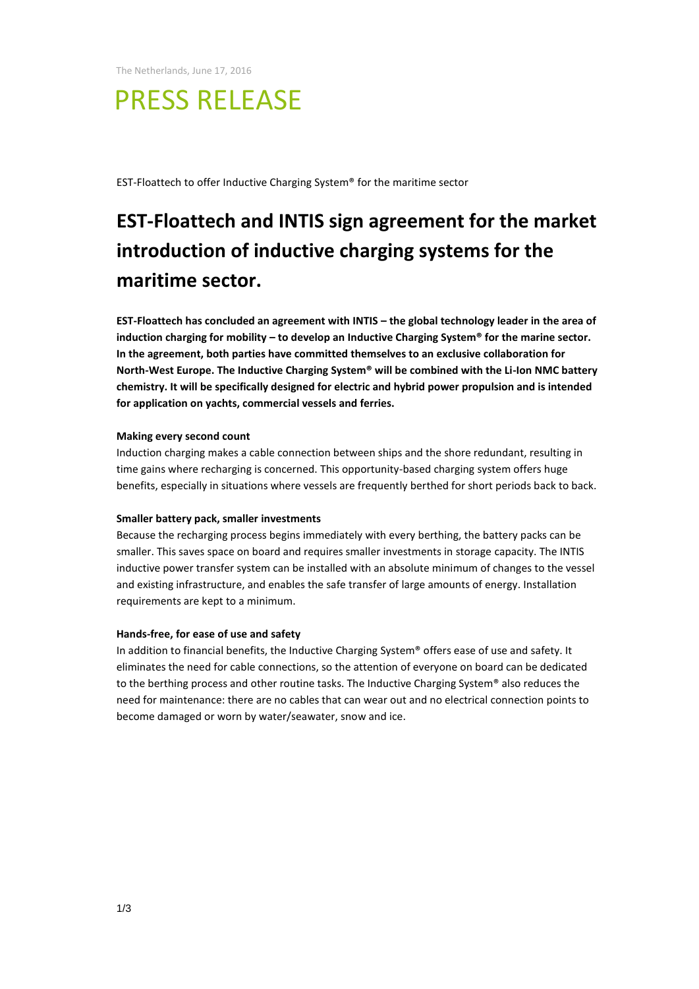The Netherlands, June 17, 2016

# PRESS RELEASE

EST-Floattech to offer Inductive Charging System® for the maritime sector

## **EST-Floattech and INTIS sign agreement for the market introduction of inductive charging systems for the maritime sector.**

**EST-Floattech has concluded an agreement with INTIS – the global technology leader in the area of induction charging for mobility – to develop an Inductive Charging System® for the marine sector. In the agreement, both parties have committed themselves to an exclusive collaboration for North-West Europe. The Inductive Charging System® will be combined with the Li-Ion NMC battery chemistry. It will be specifically designed for electric and hybrid power propulsion and is intended for application on yachts, commercial vessels and ferries.**

#### **Making every second count**

Induction charging makes a cable connection between ships and the shore redundant, resulting in time gains where recharging is concerned. This opportunity-based charging system offers huge benefits, especially in situations where vessels are frequently berthed for short periods back to back.

#### **Smaller battery pack, smaller investments**

Because the recharging process begins immediately with every berthing, the battery packs can be smaller. This saves space on board and requires smaller investments in storage capacity. The INTIS inductive power transfer system can be installed with an absolute minimum of changes to the vessel and existing infrastructure, and enables the safe transfer of large amounts of energy. Installation requirements are kept to a minimum.

#### **Hands-free, for ease of use and safety**

In addition to financial benefits, the Inductive Charging System® offers ease of use and safety. It eliminates the need for cable connections, so the attention of everyone on board can be dedicated to the berthing process and other routine tasks. The Inductive Charging System® also reduces the need for maintenance: there are no cables that can wear out and no electrical connection points to become damaged or worn by water/seawater, snow and ice.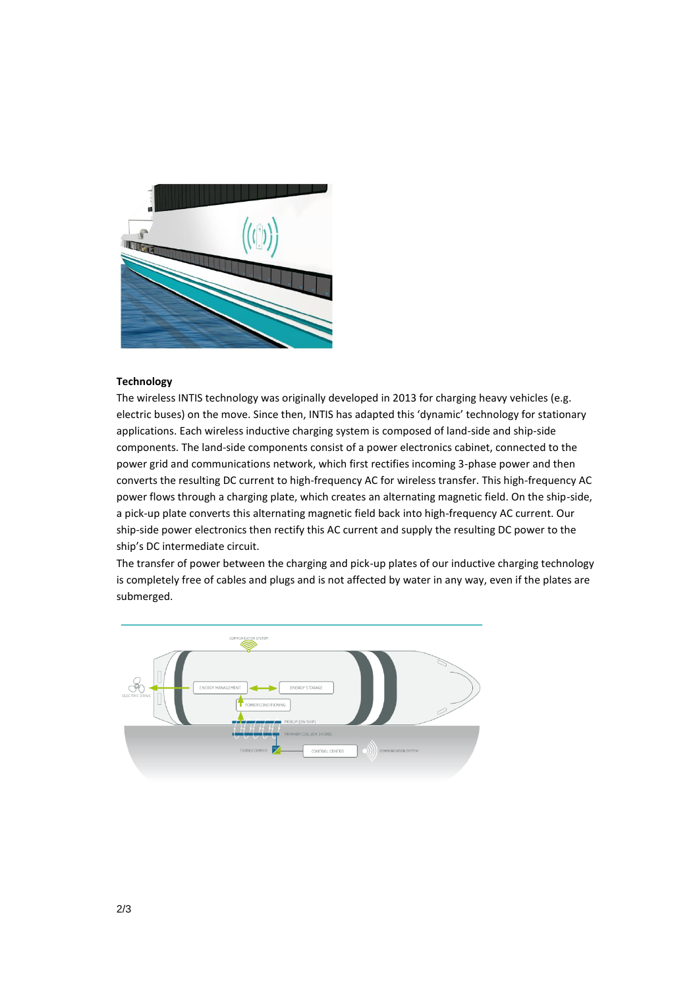

#### **Technology**

The wireless INTIS technology was originally developed in 2013 for charging heavy vehicles (e.g. electric buses) on the move. Since then, INTIS has adapted this 'dynamic' technology for stationary applications. Each wireless inductive charging system is composed of land-side and ship-side components. The land-side components consist of a power electronics cabinet, connected to the power grid and communications network, which first rectifies incoming 3-phase power and then converts the resulting DC current to high-frequency AC for wireless transfer. This high-frequency AC power flows through a charging plate, which creates an alternating magnetic field. On the ship-side, a pick-up plate converts this alternating magnetic field back into high-frequency AC current. Our ship-side power electronics then rectify this AC current and supply the resulting DC power to the ship's DC intermediate circuit.

The transfer of power between the charging and pick-up plates of our inductive charging technology is completely free of cables and plugs and is not affected by water in any way, even if the plates are submerged.